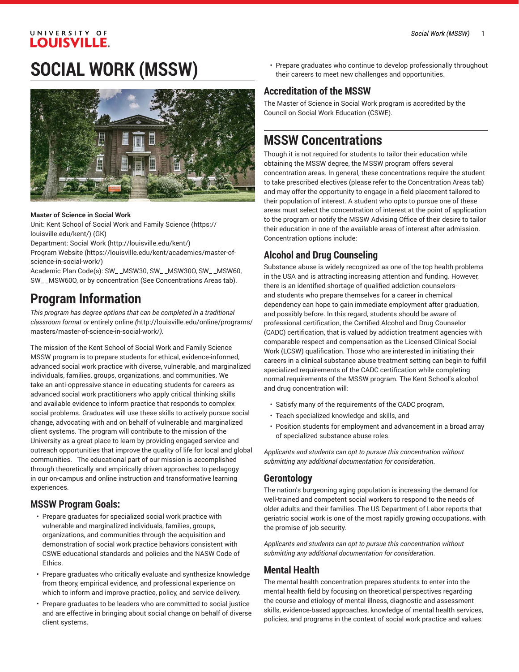# **SOCIAL WORK (MSSW)**



#### **Master of Science in Social Work**

Unit: Kent School of Social Work and Family [Science \(https://](https://louisville.edu/kent/) [louisville.edu/kent/](https://louisville.edu/kent/)) (GK)

Department: [Social](http://louisville.edu/kent/) Work (<http://louisville.edu/kent/>)

[Program](https://louisville.edu/kent/academics/master-of-science-in-social-work/) Website [\(https://louisville.edu/kent/academics/master-of](https://louisville.edu/kent/academics/master-of-science-in-social-work/)[science-in-social-work/\)](https://louisville.edu/kent/academics/master-of-science-in-social-work/)

Academic Plan Code(s): SW\_ \_MSW30, SW\_ \_MSW30O, SW\_ \_MSW60, SW\_ \_MSW60O, or by concentration (See Concentrations Areas tab).

# **Program Information**

*This program has degree options that can be completed in a traditional classroom format or* [entirely](http://louisville.edu/online/programs/masters/master-of-science-in-social-work/) online *(*[http://louisville.edu/online/programs/](http://louisville.edu/online/programs/masters/master-of-science-in-social-work/) [masters/master-of-science-in-social-work/](http://louisville.edu/online/programs/masters/master-of-science-in-social-work/)*).*

The mission of the Kent School of Social Work and Family Science MSSW program is to prepare students for ethical, evidence-informed, advanced social work practice with diverse, vulnerable, and marginalized individuals, families, groups, organizations, and communities. We take an anti-oppressive stance in educating students for careers as advanced social work practitioners who apply critical thinking skills and available evidence to inform practice that responds to complex social problems. Graduates will use these skills to actively pursue social change, advocating with and on behalf of vulnerable and marginalized client systems. The program will contribute to the mission of the University as a great place to learn by providing engaged service and outreach opportunities that improve the quality of life for local and global communities. The educational part of our mission is accomplished through theoretically and empirically driven approaches to pedagogy in our on-campus and online instruction and transformative learning experiences.

### **MSSW Program Goals:**

- Prepare graduates for specialized social work practice with vulnerable and marginalized individuals, families, groups, organizations, and communities through the acquisition and demonstration of social work practice behaviors consistent with CSWE educational standards and policies and the NASW Code of Ethics.
- Prepare graduates who critically evaluate and synthesize knowledge from theory, empirical evidence, and professional experience on which to inform and improve practice, policy, and service delivery.
- Prepare graduates to be leaders who are committed to social justice and are effective in bringing about social change on behalf of diverse client systems.

• Prepare graduates who continue to develop professionally throughout their careers to meet new challenges and opportunities.

# **Accreditation of the MSSW**

The Master of Science in Social Work program is accredited by the Council on Social Work Education (CSWE).

# **MSSW Concentrations**

Though it is not required for students to tailor their education while obtaining the MSSW degree, the MSSW program offers several concentration areas. In general, these concentrations require the student to take prescribed electives (please refer to the Concentration Areas tab) and may offer the opportunity to engage in a field placement tailored to their population of interest. A student who opts to pursue one of these areas must select the concentration of interest at the point of application to the program or notify the MSSW Advising Office of their desire to tailor their education in one of the available areas of interest after admission. Concentration options include:

# **Alcohol and Drug Counseling**

Substance abuse is widely recognized as one of the top health problems in the USA and is attracting increasing attention and funding. However, there is an identified shortage of qualified addiction counselors- and students who prepare themselves for a career in chemical dependency can hope to gain immediate employment after graduation, and possibly before. In this regard, students should be aware of professional certification, the Certified Alcohol and Drug Counselor (CADC) certification, that is valued by addiction treatment agencies with comparable respect and compensation as the Licensed Clinical Social Work (LCSW) qualification. Those who are interested in initiating their careers in a clinical substance abuse treatment setting can begin to fulfill specialized requirements of the CADC certification while completing normal requirements of the MSSW program. The Kent School's alcohol and drug concentration will:

- Satisfy many of the requirements of the CADC program,
- Teach specialized knowledge and skills, and
- Position students for employment and advancement in a broad array of specialized substance abuse roles.

*Applicants and students can opt to pursue this concentration without submitting any additional documentation for consideration*.

### **Gerontology**

The nation's burgeoning aging population is increasing the demand for well-trained and competent social workers to respond to the needs of older adults and their families. The US Department of Labor reports that geriatric social work is one of the most rapidly growing occupations, with the promise of job security.

*Applicants and students can opt to pursue this concentration without submitting any additional documentation for consideration*.

# **Mental Health**

The mental health concentration prepares students to enter into the mental health field by focusing on theoretical perspectives regarding the course and etiology of mental illness, diagnostic and assessment skills, evidence-based approaches, knowledge of mental health services, policies, and programs in the context of social work practice and values.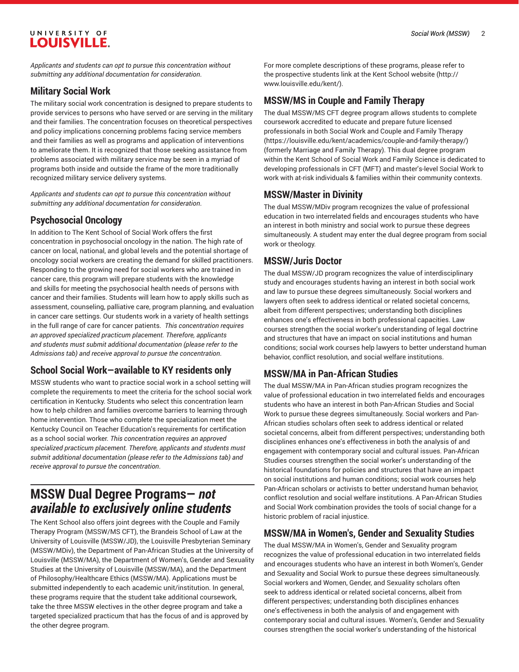*Applicants and students can opt to pursue this concentration without submitting any additional documentation for consideration*.

# **Military Social Work**

The military social work concentration is designed to prepare students to provide services to persons who have served or are serving in the military and their families. The concentration focuses on theoretical perspectives and policy implications concerning problems facing service members and their families as well as programs and application of interventions to ameliorate them. It is recognized that those seeking assistance from problems associated with military service may be seen in a myriad of programs both inside and outside the frame of the more traditionally recognized military service delivery systems.

*Applicants and students can opt to pursue this concentration without submitting any additional documentation for consideration*.

# **Psychosocial Oncology**

In addition to The Kent School of Social Work offers the first concentration in psychosocial oncology in the nation. The high rate of cancer on local, national, and global levels and the potential shortage of oncology social workers are creating the demand for skilled practitioners. Responding to the growing need for social workers who are trained in cancer care, this program will prepare students with the knowledge and skills for meeting the psychosocial health needs of persons with cancer and their families. Students will learn how to apply skills such as assessment, counseling, palliative care, program planning, and evaluation in cancer care settings. Our students work in a variety of health settings in the full range of care for cancer patients. *This concentration requires an approved specialized practicum placement. Therefore, applicants and students must submit additional documentation (please refer to the Admissions tab) and receive approval to pursue the concentration*.

# **School Social Work—available to KY residents only**

MSSW students who want to practice social work in a school setting will complete the requirements to meet the criteria for the school social work certification in Kentucky. Students who select this concentration learn how to help children and families overcome barriers to learning through home intervention. Those who complete the specialization meet the Kentucky Council on Teacher Education's requirements for certification as a school social worker. *This concentration requires an approved specialized practicum placement. Therefore, applicants and students must submit additional documentation (please refer to the Admissions tab) and receive approval to pursue the concentration*.

# **MSSW Dual Degree Programs—** *not available to exclusively online students*

The Kent School also offers joint degrees with the Couple and Family Therapy Program (MSSW/MS CFT), the Brandeis School of Law at the University of Louisville (MSSW/JD), the Louisville Presbyterian Seminary (MSSW/MDiv), the Department of Pan-African Studies at the University of Louisville (MSSW/MA), the Department of Women's, Gender and Sexuality Studies at the University of Louisville (MSSW/MA), and the Department of Philosophy/Healthcare Ethics (MSSW/MA). Applications must be submitted independently to each academic unit/institution. In general, these programs require that the student take additional coursework, take the three MSSW electives in the other degree program and take a targeted specialized practicum that has the focus of and is approved by the other degree program.

For more complete descriptions of these programs, please refer to the prospective students link at the Kent School [website](http://www.louisville.edu/kent/) ([http://](http://www.louisville.edu/kent/) [www.louisville.edu/kent/](http://www.louisville.edu/kent/)).

# **MSSW/MS in Couple and Family Therapy**

The dual MSSW/MS CFT degree program allows students to complete coursework accredited to educate and prepare future licensed professionals in both Social Work and Couple and Family [Therapy](https://louisville.edu/kent/academics/couple-and-family-therapy/) [\(https://louisville.edu/kent/academics/couple-and-family-therapy/](https://louisville.edu/kent/academics/couple-and-family-therapy/)) (formerly Marriage and Family Therapy). This dual degree program within the Kent School of Social Work and Family Science is dedicated to developing professionals in CFT (MFT) and master's-level Social Work to work with at-risk individuals & families within their community contexts.

# **MSSW/Master in Divinity**

The dual MSSW/MDiv program recognizes the value of professional education in two interrelated fields and encourages students who have an interest in both ministry and social work to pursue these degrees simultaneously. A student may enter the dual degree program from social work or theology.

# **MSSW/Juris Doctor**

The dual MSSW/JD program recognizes the value of interdisciplinary study and encourages students having an interest in both social work and law to pursue these degrees simultaneously. Social workers and lawyers often seek to address identical or related societal concerns, albeit from different perspectives; understanding both disciplines enhances one's effectiveness in both professional capacities. Law courses strengthen the social worker's understanding of legal doctrine and structures that have an impact on social institutions and human conditions; social work courses help lawyers to better understand human behavior, conflict resolution, and social welfare institutions.

# **MSSW/MA in Pan-African Studies**

The dual MSSW/MA in Pan-African studies program recognizes the value of professional education in two interrelated fields and encourages students who have an interest in both Pan-African Studies and Social Work to pursue these degrees simultaneously. Social workers and Pan-African studies scholars often seek to address identical or related societal concerns, albeit from different perspectives; understanding both disciplines enhances one's effectiveness in both the analysis of and engagement with contemporary social and cultural issues. Pan-African Studies courses strengthen the social worker's understanding of the historical foundations for policies and structures that have an impact on social institutions and human conditions; social work courses help Pan-African scholars or activists to better understand human behavior, conflict resolution and social welfare institutions. A Pan-African Studies and Social Work combination provides the tools of social change for a historic problem of racial injustice.

# **MSSW/MA in Women's, Gender and Sexuality Studies**

The dual MSSW/MA in Women's, Gender and Sexuality program recognizes the value of professional education in two interrelated fields and encourages students who have an interest in both Women's, Gender and Sexuality and Social Work to pursue these degrees simultaneously. Social workers and Women, Gender, and Sexuality scholars often seek to address identical or related societal concerns, albeit from different perspectives; understanding both disciplines enhances one's effectiveness in both the analysis of and engagement with contemporary social and cultural issues. Women's, Gender and Sexuality courses strengthen the social worker's understanding of the historical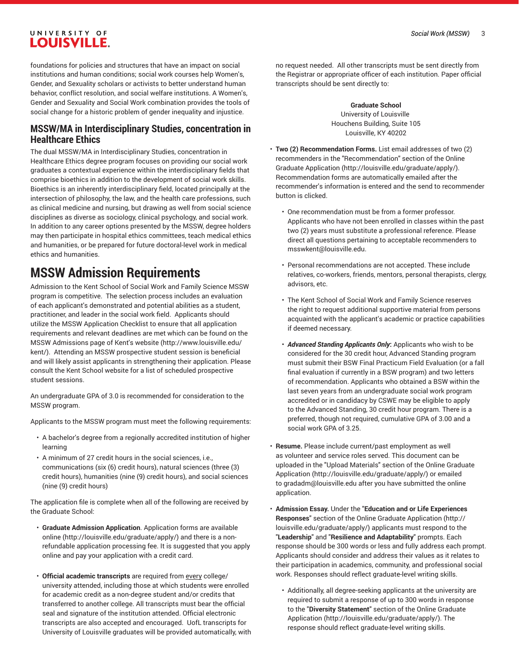foundations for policies and structures that have an impact on social institutions and human conditions; social work courses help Women's, Gender, and Sexuality scholars or activists to better understand human behavior, conflict resolution, and social welfare institutions. A Women's, Gender and Sexuality and Social Work combination provides the tools of social change for a historic problem of gender inequality and injustice.

### **MSSW/MA in Interdisciplinary Studies, concentration in Healthcare Ethics**

The dual MSSW/MA in Interdisciplinary Studies, concentration in Healthcare Ethics degree program focuses on providing our social work graduates a contextual experience within the interdisciplinary fields that comprise bioethics in addition to the development of social work skills. Bioethics is an inherently interdisciplinary field, located principally at the intersection of philosophy, the law, and the health care professions, such as clinical medicine and nursing, but drawing as well from social science disciplines as diverse as sociology, clinical psychology, and social work. In addition to any career options presented by the MSSW, degree holders may then participate in hospital ethics committees, teach medical ethics and humanities, or be prepared for future doctoral-level work in medical ethics and humanities.

# **MSSW Admission Requirements**

Admission to the Kent School of Social Work and Family Science MSSW program is competitive. The selection process includes an evaluation of each applicant's demonstrated and potential abilities as a student, practitioner, and leader in the social work field. Applicants should utilize the MSSW Application Checklist to ensure that all application requirements and relevant deadlines are met which can be found on the MSSW [Admissions](http://www.louisville.edu/kent/) page of Kent's website [\(http://www.louisville.edu/](http://www.louisville.edu/kent/) [kent/\)](http://www.louisville.edu/kent/). Attending an MSSW prospective student session is beneficial and will likely assist applicants in strengthening their application. Please consult the Kent School website for a list of scheduled prospective student sessions.

An undergraduate GPA of 3.0 is recommended for consideration to the MSSW program.

Applicants to the MSSW program must meet the following requirements:

- A bachelor's degree from a regionally accredited institution of higher learning
- A minimum of 27 credit hours in the social sciences, i.e., communications (six (6) credit hours), natural sciences (three (3) credit hours), humanities (nine (9) credit hours), and social sciences (nine (9) credit hours)

The application file is complete when all of the following are received by the Graduate School:

- **Graduate Admission Application**. [Application](http://louisville.edu/graduate/apply/) forms are available [online](http://louisville.edu/graduate/apply/) (<http://louisville.edu/graduate/apply/>) and there is a nonrefundable application processing fee. It is suggested that you apply online and pay your application with a credit card.
- **Official academic transcripts** are required from every college/ university attended, including those at which students were enrolled for academic credit as a non-degree student and/or credits that transferred to another college. All transcripts must bear the official seal and signature of the institution attended. Official electronic transcripts are also accepted and encouraged. UofL transcripts for University of Louisville graduates will be provided automatically, with

no request needed. All other transcripts must be sent directly from the Registrar or appropriate officer of each institution. Paper official transcripts should be sent directly to:

> **Graduate School** University of Louisville Houchens Building, Suite 105 Louisville, KY 40202

- **Two (2) Recommendation Forms.** List email addresses of two (2) recommenders in the "Recommendation" section of the [Online](http://louisville.edu/graduate/apply/) [Graduate Application](http://louisville.edu/graduate/apply/) ([http://louisville.edu/graduate/apply/\)](http://louisville.edu/graduate/apply/). Recommendation forms are automatically emailed after the recommender's information is entered and the send to recommender button is clicked.
	- One recommendation must be from a former professor. Applicants who have not been enrolled in classes within the past two (2) years must substitute a professional reference. Please direct all questions pertaining to acceptable recommenders to [msswkent@louisville.edu](mailto:msswkent@louisville.edu).
	- Personal recommendations are not accepted. These include relatives, co-workers, friends, mentors, personal therapists, clergy, advisors, etc.
	- The Kent School of Social Work and Family Science reserves the right to request additional supportive material from persons acquainted with the applicant's academic or practice capabilities if deemed necessary.
	- *Advanced Standing Applicants Only***:** Applicants who wish to be considered for the 30 credit hour, Advanced Standing program must submit their BSW Final Practicum Field Evaluation (or a fall final evaluation if currently in a BSW program) and two letters of recommendation. Applicants who obtained a BSW within the last seven years from an undergraduate social work program accredited or in candidacy by CSWE may be eligible to apply to the Advanced Standing, 30 credit hour program. There is a preferred, though not required, cumulative GPA of 3.00 and a social work GPA of 3.25.
- **Resume.** Please include current/past employment as well as volunteer and service roles served. This document can be uploaded in the "Upload Materials" section of the [Online Graduate](http://louisville.edu/graduate/apply/) [Application](http://louisville.edu/graduate/apply/) ([http://louisville.edu/graduate/apply/\)](http://louisville.edu/graduate/apply/) or emailed to [gradadm@louisville.edu](mailto:gradadm@louisville.edu) after you have submitted the online application.
- **Admission Essay.** Under the "**Education and or Life Experiences Responses**" section of the [Online Graduate Application](http://louisville.edu/graduate/apply/) [\(http://](http://louisville.edu/graduate/apply/) [louisville.edu/graduate/apply/\)](http://louisville.edu/graduate/apply/) applicants must respond to the "**Leadership**" and "**Resilience and Adaptability**" prompts. Each response should be 300 words or less and fully address each prompt. Applicants should consider and address their values as it relates to their participation in academics, community, and professional social work. Responses should reflect graduate-level writing skills.
	- Additionally, all degree-seeking applicants at the university are required to submit a response of up to 300 words in response to the "**Diversity Statement**" section of the [Online Graduate](http://louisville.edu/graduate/apply/) [Application](http://louisville.edu/graduate/apply/) ([http://louisville.edu/graduate/apply/\)](http://louisville.edu/graduate/apply/). The response should reflect graduate-level writing skills.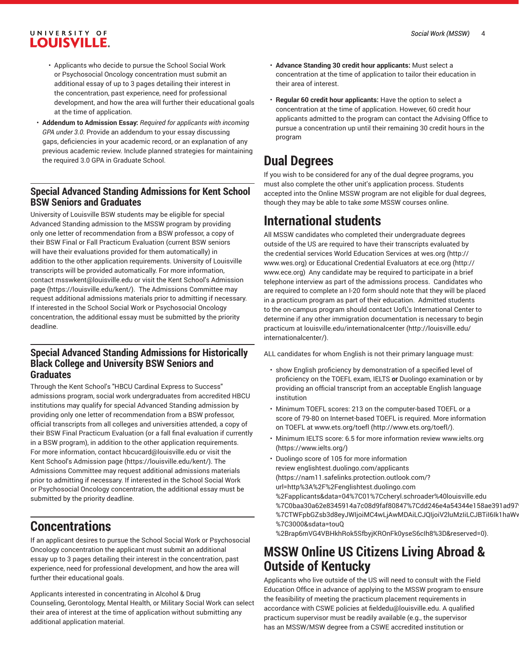- Applicants who decide to pursue the School Social Work or Psychosocial Oncology concentration must submit an additional essay of up to 3 pages detailing their interest in the concentration, past experience, need for professional development, and how the area will further their educational goals at the time of application.
- **Addendum to Admission Essay:** *Required for applicants with incoming GPA under 3.0.* Provide an addendum to your essay discussing gaps, deficiencies in your academic record, or an explanation of any previous academic review. Include planned strategies for maintaining the required 3.0 GPA in Graduate School.

# **Special Advanced Standing Admissions for Kent School BSW Seniors and Graduates**

University of Louisville BSW students may be eligible for special Advanced Standing admission to the MSSW program by providing only one letter of recommendation from a BSW professor, a copy of their BSW Final or Fall Practicum Evaluation (current BSW seniors will have their evaluations provided for them automatically) in addition to the other application requirements. University of Louisville transcripts will be provided automatically. For more information, contact [msswkent@louisville.edu](mailto:msswkent@louisville.edu) or visit the Kent School's [Admission](https://louisville.edu/kent/) [page \(https://louisville.edu/kent/\)](https://louisville.edu/kent/). The Admissions Committee may request additional admissions materials prior to admitting if necessary. If interested in the School Social Work or Psychosocial Oncology concentration, the additional essay must be submitted by the priority deadline.

### **Special Advanced Standing Admissions for Historically Black College and University BSW Seniors and Graduates**

Through the Kent School's "HBCU Cardinal Express to Success" admissions program, social work undergraduates from accredited HBCU institutions may qualify for special Advanced Standing admission by providing only one letter of recommendation from a BSW professor, official transcripts from all colleges and universities attended, a copy of their BSW Final Practicum Evaluation (or a fall final evaluation if currently in a BSW program), in addition to the other application requirements. For more information, contact [hbcucard@louisville.edu](mailto:hbcucard@louisville.edu) or visit the Kent School's [Admission](https://louisville.edu/kent/) page [\(https://louisville.edu/kent/](https://louisville.edu/kent/)). The Admissions Committee may request additional admissions materials prior to admitting if necessary. If interested in the School Social Work or Psychosocial Oncology concentration, the additional essay must be submitted by the priority deadline.

# **Concentrations**

If an applicant desires to pursue the School Social Work or Psychosocial Oncology concentration the applicant must submit an additional essay up to 3 pages detailing their interest in the concentration, past experience, need for professional development, and how the area will further their educational goals.

Applicants interested in concentrating in Alcohol & Drug Counseling, Gerontology, Mental Health, or Military Social Work can select their area of interest at the time of application without submitting any additional application material.

- **Advance Standing 30 credit hour applicants:** Must select a concentration at the time of application to tailor their education in their area of interest.
- **Regular 60 credit hour applicants:** Have the option to select a concentration at the time of application. However, 60 credit hour applicants admitted to the program can contact the Advising Office to pursue a concentration up until their remaining 30 credit hours in the program

# **Dual Degrees**

If you wish to be considered for any of the dual degree programs, you must also complete the other unit's application process. Students accepted into the Online MSSW program are not eligible for dual degrees, though they may be able to take *some* MSSW courses online.

# **International students**

All MSSW candidates who completed their undergraduate degrees outside of the US are required to have their transcripts evaluated by the credential services World Education Services at [wes.org](http://www.wes.org) [\(http://](http://www.wes.org) [www.wes.org\)](http://www.wes.org) or Educational Credential Evaluators at [ece.org](http://www.ece.org) ([http://](http://www.ece.org) [www.ece.org\)](http://www.ece.org) Any candidate may be required to participate in a brief telephone interview as part of the admissions process. Candidates who are required to complete an I-20 form should note that they will be placed in a practicum program as part of their education. Admitted students to the on-campus program should contact UofL's International Center to determine if any other immigration documentation is necessary to begin practicum at [louisville.edu/internationalcenter](http://louisville.edu/internationalcenter/) [\(http://louisville.edu/](http://louisville.edu/internationalcenter/) [internationalcenter/\)](http://louisville.edu/internationalcenter/).

ALL candidates for whom English is not their primary language must:

- show English proficiency by demonstration of a specified level of proficiency on the TOEFL exam, IELTS **or** Duolingo examination or by providing an official transcript from an acceptable English language institution
- Minimum TOEFL scores: 213 on the computer-based TOEFL or a score of 79-80 on Internet-based TOEFL is required. More information on TOEFL at [www.ets.org/toefl \(http://www.ets.org/toefl/](http://www.ets.org/toefl/)).
- Minimum IELTS score: 6.5 for more information review [www.ielts.org](https://www.ielts.org/) [\(https://www.ielts.org/\)](https://www.ielts.org/)
- Duolingo score of 105 for more information review [englishtest.duolingo.com/applicants](https://nam11.safelinks.protection.outlook.com/?url=http%3A%2F%2Fenglishtest.duolingo.com%2Fapplicants&data=04%7C01%7Ccheryl.schroader%40louisville.edu%7C0baa30a62e8345914a7c08d9faf80847%7Cdd246e4a54344e158ae391ad9797b209%7C0%7C0%7C637816765462146305%7CUnknown%7CTWFpbGZsb3d8eyJWIjoiMC4wLjAwMDAiLCJQIjoiV2luMzIiLCJBTiI6Ik1haWwiLCJXVCI6Mn0%3D%7C3000&sdata=touQ%2Brap6mVG4VBHkhRok5SfbyjKROnFk0yseS6cIh8%3D&reserved=0) [\(https://nam11.safelinks.protection.outlook.com/?](https://nam11.safelinks.protection.outlook.com/?url=http%3A%2F%2Fenglishtest.duolingo.com%2Fapplicants&data=04%7C01%7Ccheryl.schroader%40louisville.edu%7C0baa30a62e8345914a7c08d9faf80847%7Cdd246e4a54344e158ae391ad9797b209%7C0%7C0%7C637816765462146305%7CUnknown%7CTWFpbGZsb3d8eyJWIjoiMC4wLjAwMDAiLCJQIjoiV2luMzIiLCJBTiI6Ik1haWwiLCJXVCI6Mn0%3D%7C3000&sdata=touQ%2Brap6mVG4VBHkhRok5SfbyjKROnFk0yseS6cIh8%3D&reserved=0) [url=http%3A%2F%2Fenglishtest.duolingo.com](https://nam11.safelinks.protection.outlook.com/?url=http%3A%2F%2Fenglishtest.duolingo.com%2Fapplicants&data=04%7C01%7Ccheryl.schroader%40louisville.edu%7C0baa30a62e8345914a7c08d9faf80847%7Cdd246e4a54344e158ae391ad9797b209%7C0%7C0%7C637816765462146305%7CUnknown%7CTWFpbGZsb3d8eyJWIjoiMC4wLjAwMDAiLCJQIjoiV2luMzIiLCJBTiI6Ik1haWwiLCJXVCI6Mn0%3D%7C3000&sdata=touQ%2Brap6mVG4VBHkhRok5SfbyjKROnFk0yseS6cIh8%3D&reserved=0) [%2Fapplicants&data=04%7C01%7Ccheryl.schroader%40louisville.edu](https://nam11.safelinks.protection.outlook.com/?url=http%3A%2F%2Fenglishtest.duolingo.com%2Fapplicants&data=04%7C01%7Ccheryl.schroader%40louisville.edu%7C0baa30a62e8345914a7c08d9faf80847%7Cdd246e4a54344e158ae391ad9797b209%7C0%7C0%7C637816765462146305%7CUnknown%7CTWFpbGZsb3d8eyJWIjoiMC4wLjAwMDAiLCJQIjoiV2luMzIiLCJBTiI6Ik1haWwiLCJXVCI6Mn0%3D%7C3000&sdata=touQ%2Brap6mVG4VBHkhRok5SfbyjKROnFk0yseS6cIh8%3D&reserved=0) %7C0baa30a62e8345914a7c08d9faf80847%7Cdd246e4a54344e158ae391ad97 %7CTWFpbGZsb3d8eyJWIjoiMC4wLjAwMDAiLCJQIjoiV2luMzIiLCJBTiI6Ik1haWv [%7C3000&sdata=touQ](https://nam11.safelinks.protection.outlook.com/?url=http%3A%2F%2Fenglishtest.duolingo.com%2Fapplicants&data=04%7C01%7Ccheryl.schroader%40louisville.edu%7C0baa30a62e8345914a7c08d9faf80847%7Cdd246e4a54344e158ae391ad9797b209%7C0%7C0%7C637816765462146305%7CUnknown%7CTWFpbGZsb3d8eyJWIjoiMC4wLjAwMDAiLCJQIjoiV2luMzIiLCJBTiI6Ik1haWwiLCJXVCI6Mn0%3D%7C3000&sdata=touQ%2Brap6mVG4VBHkhRok5SfbyjKROnFk0yseS6cIh8%3D&reserved=0)

[%2Brap6mVG4VBHkhRok5SfbyjKROnFk0yseS6cIh8%3D&reserved=0\)](https://nam11.safelinks.protection.outlook.com/?url=http%3A%2F%2Fenglishtest.duolingo.com%2Fapplicants&data=04%7C01%7Ccheryl.schroader%40louisville.edu%7C0baa30a62e8345914a7c08d9faf80847%7Cdd246e4a54344e158ae391ad9797b209%7C0%7C0%7C637816765462146305%7CUnknown%7CTWFpbGZsb3d8eyJWIjoiMC4wLjAwMDAiLCJQIjoiV2luMzIiLCJBTiI6Ik1haWwiLCJXVCI6Mn0%3D%7C3000&sdata=touQ%2Brap6mVG4VBHkhRok5SfbyjKROnFk0yseS6cIh8%3D&reserved=0).

# **MSSW Online US Citizens Living Abroad & Outside of Kentucky**

Applicants who live outside of the US will need to consult with the Field Education Office in advance of applying to the MSSW program to ensure the feasibility of meeting the practicum placement requirements in accordance with CSWE policies at [fieldedu@louisville.edu](mailto:fieldedu@louisville.edu). A qualified practicum supervisor must be readily available (e.g., the supervisor has an MSSW/MSW degree from a CSWE accredited institution or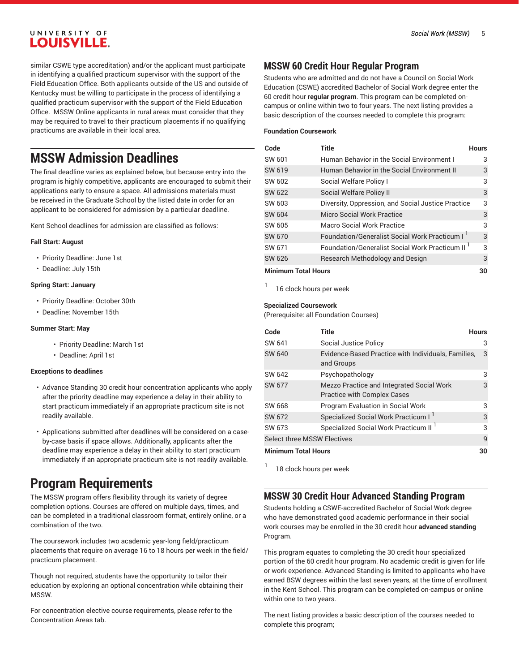similar CSWE type accreditation) and/or the applicant must participate in identifying a qualified practicum supervisor with the support of the Field Education Office. Both applicants outside of the US and outside of Kentucky must be willing to participate in the process of identifying a qualified practicum supervisor with the support of the Field Education Office. MSSW Online applicants in rural areas must consider that they may be required to travel to their practicum placements if no qualifying practicums are available in their local area.

# **MSSW Admission Deadlines**

The final deadline varies as explained below, but because entry into the program is highly competitive, applicants are encouraged to submit their applications early to ensure a space. All admissions materials must be received in the Graduate School by the listed date in order for an applicant to be considered for admission by a particular deadline.

Kent School deadlines for admission are classified as follows:

#### **Fall Start: August**

- Priority Deadline: June 1st
- Deadline: July 15th

#### **Spring Start: January**

- Priority Deadline: October 30th
- Deadline: November 15th

#### **Summer Start: May**

- Priority Deadline: March 1st
- Deadline: April 1st

#### **Exceptions to deadlines**

- Advance Standing 30 credit hour concentration applicants who apply after the priority deadline may experience a delay in their ability to start practicum immediately if an appropriate practicum site is not readily available.
- Applications submitted after deadlines will be considered on a caseby-case basis if space allows. Additionally, applicants after the deadline may experience a delay in their ability to start practicum immediately if an appropriate practicum site is not readily available.

# **Program Requirements**

The MSSW program offers flexibility through its variety of degree completion options. Courses are offered on multiple days, times, and can be completed in a traditional classroom format, entirely online, or a combination of the two.

The coursework includes two academic year-long field/practicum placements that require on average 16 to 18 hours per week in the field/ practicum placement.

Though not required, students have the opportunity to tailor their education by exploring an optional concentration while obtaining their MSSW.

For concentration elective course requirements, please refer to the Concentration Areas tab.

### **MSSW 60 Credit Hour Regular Program**

Students who are admitted and do not have a Council on Social Work Education (CSWE) accredited Bachelor of Social Work degree enter the 60 credit hour **regular program**. This program can be completed oncampus or online within two to four years. The next listing provides a basic description of the courses needed to complete this program:

#### **Foundation Coursework**

| Code                       | <b>Title</b>                                                | <b>Hours</b> |
|----------------------------|-------------------------------------------------------------|--------------|
| SW 601                     | Human Behavior in the Social Environment I                  | 3            |
| SW 619                     | Human Behavior in the Social Environment II                 | 3            |
| SW 602                     | Social Welfare Policy I                                     | 3            |
| SW 622                     | Social Welfare Policy II                                    | 3            |
| SW 603                     | Diversity, Oppression, and Social Justice Practice          | 3            |
| SW 604                     | Micro Social Work Practice                                  | 3            |
| SW 605                     | Macro Social Work Practice                                  | 3            |
| SW 670                     | Foundation/Generalist Social Work Practicum I <sup>1</sup>  | 3            |
| SW 671                     | Foundation/Generalist Social Work Practicum II <sup>1</sup> | 3            |
| SW 626                     | Research Methodology and Design                             | 3            |
| <b>Minimum Total Hours</b> |                                                             | 30           |

1 16 clock hours per week

#### **Specialized Coursework**

(Prerequisite: all Foundation Courses)

| Code                               | Title                                                                           | <b>Hours</b> |
|------------------------------------|---------------------------------------------------------------------------------|--------------|
| SW 641                             | Social Justice Policy                                                           | 3            |
| SW 640                             | Evidence-Based Practice with Individuals, Families,<br>and Groups               | 3            |
| SW 642                             | Psychopathology                                                                 | 3            |
| SW 677                             | Mezzo Practice and Integrated Social Work<br><b>Practice with Complex Cases</b> | 3            |
| SW 668                             | <b>Program Evaluation in Social Work</b>                                        | 3            |
| SW 672                             | Specialized Social Work Practicum I                                             | 3            |
| SW 673                             | Specialized Social Work Practicum II <sup>1</sup>                               | 3            |
| <b>Select three MSSW Electives</b> |                                                                                 | 9            |
| <b>Minimum Total Hours</b>         |                                                                                 | 30           |

18 clock hours per week

1

## **MSSW 30 Credit Hour Advanced Standing Program**

Students holding a CSWE-accredited Bachelor of Social Work degree who have demonstrated good academic performance in their social work courses may be enrolled in the 30 credit hour **advanced standing** Program.

This program equates to completing the 30 credit hour specialized portion of the 60 credit hour program. No academic credit is given for life or work experience. Advanced Standing is limited to applicants who have earned BSW degrees within the last seven years, at the time of enrollment in the Kent School. This program can be completed on-campus or online within one to two years.

The next listing provides a basic description of the courses needed to complete this program;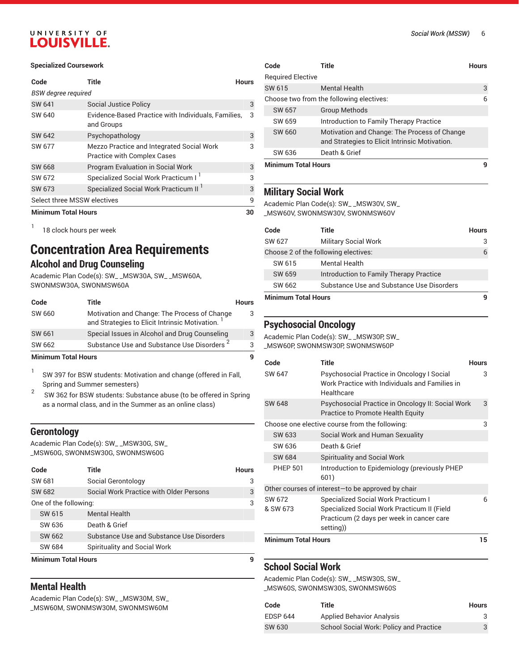#### **Specialized Coursework**

| Code                        | Title                                                                           | <b>Hours</b> |
|-----------------------------|---------------------------------------------------------------------------------|--------------|
| <b>BSW</b> degree required  |                                                                                 |              |
| SW 641                      | Social Justice Policy                                                           | 3            |
| SW 640                      | Evidence-Based Practice with Individuals, Families,<br>and Groups               | 3            |
| SW 642                      | Psychopathology                                                                 | 3            |
| SW 677                      | Mezzo Practice and Integrated Social Work<br><b>Practice with Complex Cases</b> | 3            |
| SW 668                      | <b>Program Evaluation in Social Work</b>                                        | 3            |
| SW 672                      | Specialized Social Work Practicum I                                             | 3            |
| SW 673                      | Specialized Social Work Practicum II <sup>1</sup>                               | 3            |
| Select three MSSW electives |                                                                                 | 9            |
| <b>Minimum Total Hours</b>  |                                                                                 | 30           |

1 18 clock hours per week

# **Concentration Area Requirements**

### **Alcohol and Drug Counseling**

Academic Plan Code(s): SW\_ \_MSW30A, SW\_ \_MSW60A, SWONMSW30A, SWONMSW60A

| Code   | Title                                                                                                       | <b>Hours</b> |
|--------|-------------------------------------------------------------------------------------------------------------|--------------|
| SW 660 | Motivation and Change: The Process of Change<br>and Strategies to Elicit Intrinsic Motivation. <sup>1</sup> | 3            |
| SW 661 | Special Issues in Alcohol and Drug Counseling                                                               | 3            |
| SW 662 | Substance Use and Substance Use Disorders <sup>2</sup>                                                      | 3            |

#### **Minimum Total Hours 9**

1 SW 397 for BSW students: Motivation and change (offered in Fall, Spring and Summer semesters)

2 SW 362 for BSW students: Substance abuse (to be offered in Spring as a normal class, and in the Summer as an online class)

### **Gerontology**

Academic Plan Code(s): SW\_ \_MSW30G, SW\_ \_MSW60G, SWONMSW30G, SWONMSW60G

| Code                       | Title                                     | <b>Hours</b> |  |
|----------------------------|-------------------------------------------|--------------|--|
| SW 681                     | Social Gerontology                        | 3            |  |
| SW 682                     | Social Work Practice with Older Persons   | 3            |  |
| One of the following:      |                                           | 3            |  |
| SW 615                     | <b>Mental Health</b>                      |              |  |
| SW 636                     | Death & Grief                             |              |  |
| SW 662                     | Substance Use and Substance Use Disorders |              |  |
| SW 684                     | Spirituality and Social Work              |              |  |
| <b>Minimum Total Hours</b> |                                           |              |  |

### **Mental Health**

Academic Plan Code(s): SW\_ \_MSW30M, SW\_ \_MSW60M, SWONMSW30M, SWONMSW60M

| Code                       | Title                                                                                          | Hours |
|----------------------------|------------------------------------------------------------------------------------------------|-------|
| <b>Required Elective</b>   |                                                                                                |       |
| SW 615                     | <b>Mental Health</b>                                                                           | 3     |
|                            | Choose two from the following electives:                                                       | 6     |
| SW 657                     | <b>Group Methods</b>                                                                           |       |
| SW 659                     | Introduction to Family Therapy Practice                                                        |       |
| SW 660                     | Motivation and Change: The Process of Change<br>and Strategies to Elicit Intrinsic Motivation. |       |
| SW 636                     | Death & Grief                                                                                  |       |
| <b>Minimum Total Hours</b> |                                                                                                |       |

#### **Military Social Work**

Academic Plan Code(s): SW\_ \_MSW30V, SW\_ \_MSW60V, SWONMSW30V, SWONMSW60V

| Code                       | Title                                     | <b>Hours</b> |
|----------------------------|-------------------------------------------|--------------|
| SW 627                     | <b>Military Social Work</b>               |              |
|                            | Choose 2 of the following electives:      |              |
| SW 615                     | Mental Health                             |              |
| SW 659                     | Introduction to Family Therapy Practice   |              |
| SW 662                     | Substance Use and Substance Use Disorders |              |
| <b>Minimum Total Hours</b> |                                           |              |

# **Psychosocial Oncology**

Academic Plan Code(s): SW\_ \_MSW30P, SW\_

\_MSW60P, SWONMSW30P, SWONMSW60P

| Code                       | <b>Title</b>                                                                                                                                 | <b>Hours</b> |
|----------------------------|----------------------------------------------------------------------------------------------------------------------------------------------|--------------|
| SW 647                     | Psychosocial Practice in Oncology I Social<br>Work Practice with Individuals and Families in<br>Healthcare                                   | 3            |
| <b>SW 648</b>              | Psychosocial Practice in Oncology II: Social Work<br>Practice to Promote Health Equity                                                       | 3            |
|                            | Choose one elective course from the following:                                                                                               | 3            |
| SW 633                     | Social Work and Human Sexuality                                                                                                              |              |
| SW 636                     | Death & Grief                                                                                                                                |              |
| SW 684                     | <b>Spirituality and Social Work</b>                                                                                                          |              |
| <b>PHEP 501</b>            | Introduction to Epidemiology (previously PHEP<br>601)                                                                                        |              |
|                            | Other courses of interest-to be approved by chair                                                                                            |              |
| SW 672<br>& SW 673         | Specialized Social Work Practicum I<br>Specialized Social Work Practicum II (Field<br>Practicum (2 days per week in cancer care<br>setting)) | 6            |
| <b>Minimum Total Hours</b> |                                                                                                                                              | 15           |

### **School Social Work**

Academic Plan Code(s): SW\_ \_MSW30S, SW\_ \_MSW60S, SWONMSW30S, SWONMSW60S

| Code            | Title                                          | <b>Hours</b> |
|-----------------|------------------------------------------------|--------------|
| <b>EDSP 644</b> | <b>Applied Behavior Analysis</b>               | 3            |
| SW 630          | <b>School Social Work: Policy and Practice</b> | 3            |